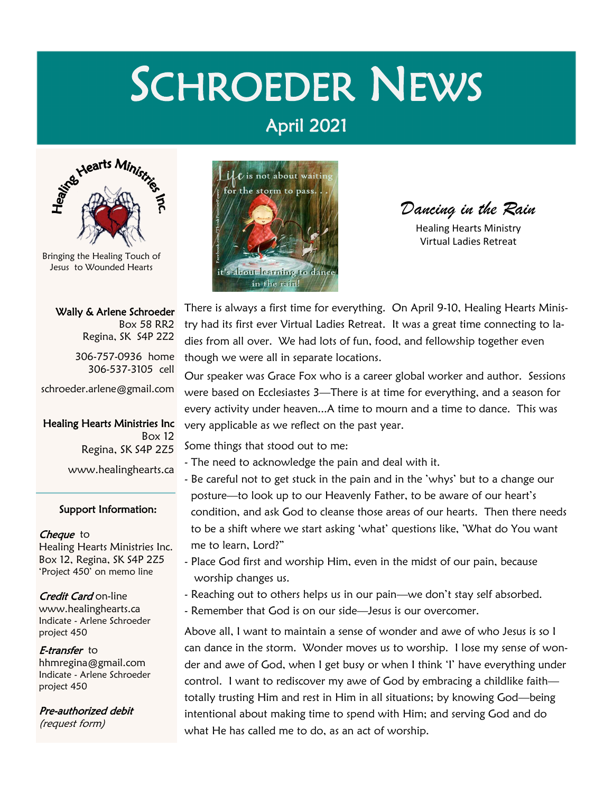## SCHROEDER NEWS

# April 2021



Bringing the Healing Touch of Jesus to Wounded Hearts

#### Wally & Arlene Schroeder Box 58 RR2 Regina, SK S4P 2Z2 306-757-0936 home 306-537-3105 cell schroeder.arlene@gmail.com

Healing Hearts Ministries Inc Box 12 Regina, SK S4P 2Z5 www.healinghearts.ca

#### Support Information:

#### Cheque to

Healing Hearts Ministries Inc. Box 12, Regina, SK S4P 2Z5 'Project 450' on memo line

#### Credit Card on-line

www.healinghearts.ca Indicate - Arlene Schroeder project 450

#### E-transfer to

hhmregina@gmail.com Indicate - Arlene Schroeder project 450

Pre-authorized debit (request form)



*Dancing in the Rain*

Healing Hearts Ministry Virtual Ladies Retreat

There is always a first time for everything. On April 9-10, Healing Hearts Ministry had its first ever Virtual Ladies Retreat. It was a great time connecting to ladies from all over. We had lots of fun, food, and fellowship together even though we were all in separate locations.

Our speaker was Grace Fox who is a career global worker and author. Sessions were based on Ecclesiastes 3—There is at time for everything, and a season for every activity under heaven...A time to mourn and a time to dance. This was very applicable as we reflect on the past year.

Some things that stood out to me:

- The need to acknowledge the pain and deal with it.
- Be careful not to get stuck in the pain and in the 'whys' but to a change our posture—to look up to our Heavenly Father, to be aware of our heart's condition, and ask God to cleanse those areas of our hearts. Then there needs to be a shift where we start asking 'what' questions like, 'What do You want me to learn, Lord?"
- Place God first and worship Him, even in the midst of our pain, because worship changes us.
- Reaching out to others helps us in our pain—we don't stay self absorbed.
- Remember that God is on our side—Jesus is our overcomer.

Above all, I want to maintain a sense of wonder and awe of who Jesus is so I can dance in the storm. Wonder moves us to worship. I lose my sense of wonder and awe of God, when I get busy or when I think 'I' have everything under control. I want to rediscover my awe of God by embracing a childlike faith totally trusting Him and rest in Him in all situations; by knowing God—being intentional about making time to spend with Him; and serving God and do what He has called me to do, as an act of worship.